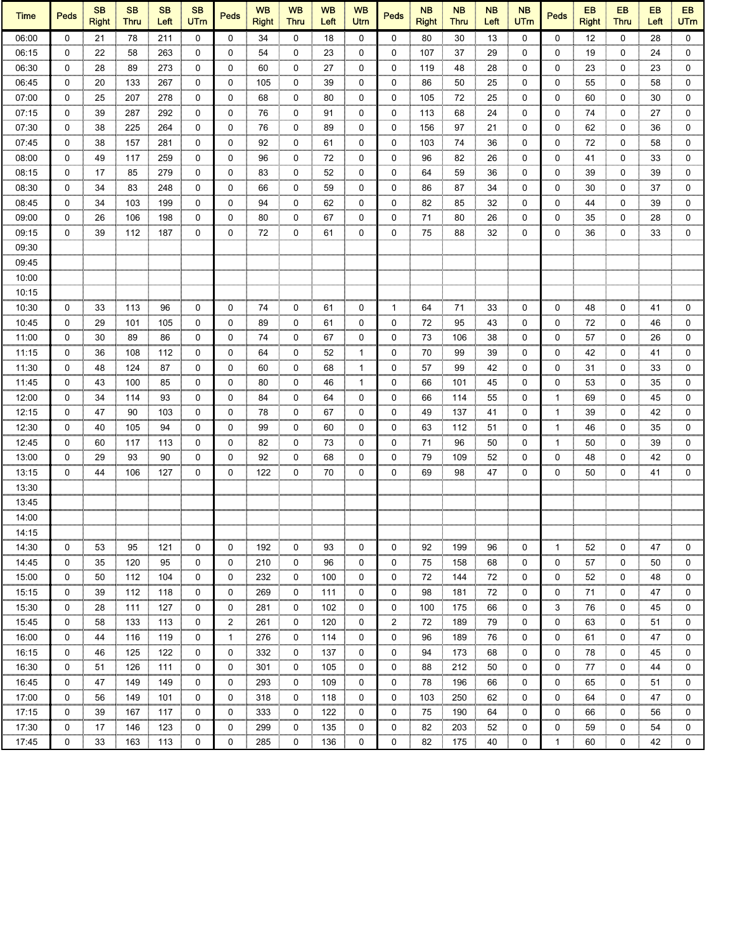| <b>Time</b> | <b>Peds</b> | <b>SB</b><br><b>Right</b> | <b>SB</b><br>Thru | <b>SB</b><br>Left | <b>SB</b><br><b>UTm</b> | <b>Peds</b> | <b>WB</b><br><b>Right</b> | <b>WB</b><br><b>Thru</b> | <b>WB</b><br>Left | <b>WB</b><br>Utrn | <b>Peds</b> | <b>NB</b><br><b>Right</b> | <b>NB</b><br><b>Thru</b> | <b>NB</b><br>Left | <b>NB</b><br><b>UTm</b> | <b>Peds</b>  | <b>EB</b><br><b>Right</b> | EB<br><b>Thru</b> | EB<br>Left | EB<br><b>UTm</b> |
|-------------|-------------|---------------------------|-------------------|-------------------|-------------------------|-------------|---------------------------|--------------------------|-------------------|-------------------|-------------|---------------------------|--------------------------|-------------------|-------------------------|--------------|---------------------------|-------------------|------------|------------------|
| 06:00       | $\Omega$    | 21                        | 78                | 211               | $\mathbf 0$             | 0           | 34                        | 0                        | 18                | 0                 | $\Omega$    | 80                        | 30                       | 13                | $\Omega$                | $\mathbf{0}$ | 12                        | $\mathbf 0$       | 28         | $\mathbf 0$      |
| 06:15       | 0           | 22                        | 58                | 263               | 0                       | 0           | 54                        | 0                        | 23                | 0                 | 0           | 107                       | 37                       | 29                | $\Omega$                | 0            | 19                        | 0                 | 24         | 0                |
| 06:30       | 0           | 28                        | 89                | 273               | 0                       | 0           | 60                        | 0                        | 27                | 0                 | 0           | 119                       | 48                       | 28                | 0                       | 0            | 23                        | 0                 | 23         | 0                |
| 06:45       | 0           | 20                        | 133               | 267               | 0                       | 0           | 105                       | 0                        | 39                | 0                 | 0           | 86                        | 50                       | 25                | 0                       | 0            | 55                        | 0                 | 58         | 0                |
| 07:00       | 0           | 25                        | 207               | 278               | 0<br>mm                 | 0           | 68                        | 0                        | 80                | 0                 | 0           | 105                       | 72                       | 25                | 0                       | 0            | 60                        | 0                 | 30         | 0                |
| 07:15       | 0           | 39                        | 287               | 292               | 0                       | 0           | 76                        | 0                        | 91                | 0                 | 0           | 113                       | 68                       | 24                | 0                       | 0            | 74                        | 0                 | 27         | 0                |
| 07:30       | 0           | 38                        | 225               | 264               | 0                       | 0           | 76                        | 0                        | 89                | 0                 | 0           | 156                       | 97                       | 21                | 0                       | 0            | 62                        | 0                 | 36         | 0                |
| 07:45       | 0           | 38                        | 157               | 281               | 0                       | 0           | 92                        | 0                        | 61                | 0                 | 0           | 103                       | 74                       | 36                | 0                       | 0            | 72                        | 0                 | 58         | 0                |
| 08:00       | 0           | 49                        | 117               | 259               | 0                       | 0           | 96                        | 0                        | 72                | 0                 | 0           | 96                        | 82                       | 26                | 0                       | 0            | 41                        | 0                 | 33         | 0                |
| 08:15       | 0           | 17                        | 85                | 279               | 0                       | 0           | 83                        | 0                        | 52                | 0                 | 0           | 64                        | 59                       | 36                | 0                       | 0            | 39                        | 0                 | 39         | 0                |
| 08:30       | 0           | 34                        | 83                | 248               | 0                       | 0           | 66                        | 0                        | 59                | 0                 | 0           | 86                        | 87                       | 34                | 0                       | 0            | 30                        | 0                 | 37         | 0                |
| 08:45       | 0           | 34                        | 103               | 199               | 0                       | 0           | 94                        | 0                        | 62                | 0                 | 0           | 82                        | 85                       | 32                | 0                       | 0            | 44                        | 0                 | 39         | 0                |
| 09:00       | 0           | 26                        | 106               | 198               | 0                       | 0           | 80                        | 0                        | 67                | 0                 | 0           | 71                        | 80                       | 26                | 0                       | 0            | 35                        | 0                 | 28         | 0                |
| 09:15       | $\Omega$    | 39                        | 112               | 187               | 0                       | 0           | 72                        | 0                        | 61                | 0                 | 0           | 75                        | 88                       | 32                | 0                       | 0            | 36                        | 0                 | 33         | $\mathbf 0$      |
| 09:30       |             |                           |                   |                   |                         |             |                           |                          |                   |                   |             |                           |                          |                   |                         |              |                           |                   |            |                  |
| 09:45       |             |                           |                   |                   |                         |             |                           |                          |                   |                   |             |                           |                          |                   |                         |              |                           |                   |            |                  |
| 10:00       |             |                           |                   |                   |                         |             |                           |                          |                   |                   |             |                           |                          |                   |                         |              |                           |                   |            |                  |
| 10:15       |             |                           |                   |                   |                         |             |                           |                          |                   |                   |             |                           |                          |                   |                         |              |                           |                   |            |                  |
| 10:30       | 0           | 33                        | 113               | 96                | 0                       | 0           | 74                        | 0                        | 61                | 0                 | -1          | 64                        | 71                       | 33                | 0                       | 0            | 48                        | 0                 | 41         | 0                |
| 10:45       | 0           | 29                        | 101               | 105               | 0                       | 0           | 89                        | 0                        | 61                | 0                 | 0           | 72                        | 95                       | 43                | 0                       | 0            | 72                        | 0                 | 46         | 0                |
| 11:00       | 0           | 30                        | 89                | 86                | 0                       | 0           | 74                        | 0                        | 67                | 0                 | 0           | 73                        | 106                      | 38                | 0                       | 0            | 57                        | 0                 | 26         | 0                |
| 11:15       | 0           | 36                        | 108               | 112               | 0                       | 0           | 64                        | 0                        | 52                | 1                 | 0           | 70                        | 99                       | 39                | 0                       | 0            | 42                        | 0                 | 41         | 0                |
| 11:30       | $\Omega$    | 48                        | 124               | 87                | $\mathbf 0$             | 0           | 60                        | 0                        | 68                | 1                 | 0           | 57                        | 99                       | 42                | $\Omega$                | 0            | 31                        | 0                 | 33         | 0                |
| 11:45       | 0           | 43                        | 100               | 85                | 0                       | 0           | 80                        | 0                        | 46                | 1                 | 0           | 66                        | 101                      | 45                | 0                       | 0            | 53                        | 0                 | 35         | 0                |
| 12:00       | 0           | 34                        | 114               | 93                | 0                       | 0           | 84                        | 0                        | 64                | 0                 | 0           | 66                        | 114                      | 55                | 0                       | $\mathbf{1}$ | 69                        | 0                 | 45         | 0                |
| 12:15       | $\mathbf 0$ | 47                        | 90                | 103               | 0                       | 0           | 78                        | 0                        | 67                | 0                 | 0           | 49                        | 137                      | 41                | 0                       | $\mathbf{1}$ | 39                        | 0                 | 42         | 0                |
| 12:30       | 0           | 40                        | 105               | 94                | 0                       | 0           | 99                        | 0                        | 60                | 0                 | 0           | 63                        | 112                      | 51                | 0                       | $\mathbf{1}$ | 46                        | 0                 | 35         | 0                |
| 12:45       | 0           | 60                        | 117               | 113               | 0                       | 0           | 82                        | 0                        | 73                | 0                 | 0           | 71                        | 96                       | 50                | 0                       | $\mathbf{1}$ | 50                        | 0                 | 39         | 0                |
| 13:00       | 0           | 29                        | 93                | 90                | 0                       | 0           | 92                        | 0                        | 68                | 0                 | 0           | 79                        | 109                      | 52                | 0                       | 0            | 48                        | 0                 | 42         | 0                |
| 13:15       | 0           | 44                        | 106               | 127               | 0                       | 0           | 122                       | 0                        | 70                | 0                 | 0           | 69                        | 98                       | 47                | 0                       | 0            | 50                        | 0                 | 41         | 0                |
| 13:30       |             |                           |                   |                   |                         |             |                           |                          |                   |                   |             |                           |                          |                   |                         |              |                           |                   |            |                  |
| 13:45       |             |                           |                   |                   |                         |             |                           |                          |                   |                   |             |                           |                          |                   |                         |              |                           |                   |            |                  |
| 14:00       |             |                           |                   |                   |                         |             |                           |                          |                   |                   |             |                           |                          |                   |                         |              |                           |                   |            |                  |
| 14:15       |             |                           |                   |                   |                         |             |                           |                          |                   |                   |             |                           |                          |                   |                         |              |                           |                   |            |                  |
| 14:30       | 0           | 53                        | 95                | 121               | 0                       | 0           | 192                       | 0                        | 93                | 0                 | 0           | 92                        | 199                      | 96                | 0                       | $\mathbf{1}$ | 52                        | 0                 | 47         | 0                |
| 14:45       | 0           | 35                        | 120               | 95                | 0                       | 0           | 210                       | 0                        | 96                | 0                 | 0           | 75                        | 158                      | 68                | 0                       | 0            | 57                        | 0                 | 50         | 0                |
|             | 0           |                           |                   |                   |                         |             |                           |                          |                   |                   |             |                           |                          |                   |                         | 0            |                           |                   |            |                  |
| 15:00       |             | 50                        | 112               | 104               | 0                       | 0           | 232                       | 0                        | 100               | 0                 | 0           | 72                        | 144                      | 72                | 0                       |              | 52                        | 0                 | 48         | 0                |
| 15:15       | 0           | 39                        | 112               | 118               | 0                       | 0           | 269                       | 0                        | 111               | 0                 | 0           | 98                        | 181                      | 72                | 0                       | 0            | 71                        | 0                 | 47         | 0                |
| 15:30       | $\mathbf 0$ | 28                        | 111               | 127               | 0                       | 0           | 281                       | 0                        | 102               | 0                 | 0           | 100                       | 175                      | 66                | 0                       | 3            | 76                        | 0                 | 45         | 0                |
| 15:45       | 0           | 58                        | 133               | 113               | 0                       | 2           | 261                       | 0                        | 120               | 0                 | 2           | 72                        | 189                      | 79                | 0                       | 0            | 63                        | 0                 | 51         | 0                |
| 16:00       | 0           | 44                        | 116               | 119               | 0                       | 1           | 276                       | 0                        | 114               | 0                 | 0           | 96                        | 189                      | 76                | 0                       | 0            | 61                        | 0                 | 47         | 0                |
| 16:15       | 0           | 46                        | 125               | 122               | 0                       | 0           | 332                       | 0                        | 137               | 0                 | 0           | 94                        | 173                      | 68                | 0                       | 0            | 78                        | 0                 | 45         | 0                |
| 16:30       | 0           | 51                        | 126               | 111               | 0                       | 0           | 301                       | 0                        | 105               | 0                 | 0           | 88                        | 212                      | 50                | 0                       | 0            | 77                        | 0                 | 44         | 0                |
| 16:45       | 0           | 47                        | 149               | 149               | 0<br>,,,,,,             | 0           | 293                       | 0                        | 109               | 0                 | 0           | 78                        | 196                      | 66                | 0                       | 0            | 65                        | 0                 | 51         | 0<br>mm          |
| 17:00       | 0           | 56                        | 149               | 101               | 0                       | 0           | 318                       | 0                        | 118               | 0                 | 0           | 103                       | 250                      | 62                | 0                       | 0            | 64                        | 0                 | 47         | 0                |
| 17:15       | 0           | 39                        | 167               | 117               | 0                       | 0           | 333                       | 0                        | 122               | 0                 | 0           | 75                        | 190                      | 64                | 0                       | 0            | 66                        | 0                 | 56         | 0                |
| 17:30       | 0           | 17                        | 146               | 123               | 0                       | 0           | 299                       | 0                        | 135               | 0                 | 0           | 82                        | 203                      | 52                | 0                       | 0            | 59                        | 0                 | 54         | 0                |
| 17:45       | $\mathbf 0$ | 33                        | 163               | 113               | $\mathbf 0$             | 0           | 285                       | 0                        | 136               | 0                 | 0           | 82                        | 175                      | 40                | 0                       | 1            | 60                        | 0                 | 42         | 0                |